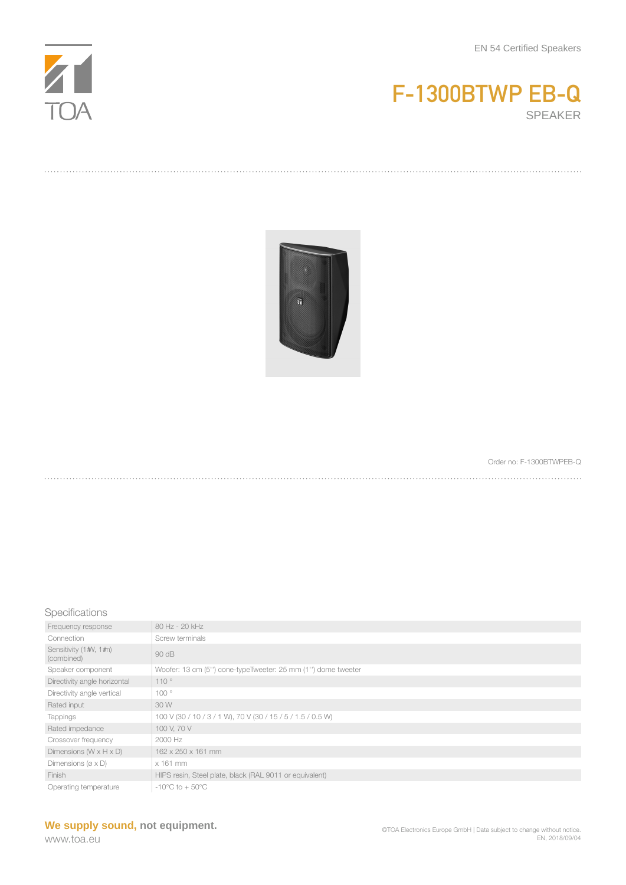





Order no: F-1300BTWPEB-Q

## Specifications

| Frequency response                    | 80 Hz - 20 kHz                                               |
|---------------------------------------|--------------------------------------------------------------|
| Connection                            | Screw terminals                                              |
| Sensitivity (1#V, 1#n)<br>(combined)  | 90 dB                                                        |
| Speaker component                     | Woofer: 13 cm (5") cone-typeTweeter: 25 mm (1") dome tweeter |
| Directivity angle horizontal          | 110°                                                         |
| Directivity angle vertical            | 100°                                                         |
| Rated input                           | 30 W                                                         |
| <b>Tappings</b>                       | 100 V (30 / 10 / 3 / 1 W), 70 V (30 / 15 / 5 / 1.5 / 0.5 W)  |
| Rated impedance                       | 100 V, 70 V                                                  |
| Crossover frequency                   | 2000 Hz                                                      |
| Dimensions ( $W \times H \times D$ )  | 162 x 250 x 161 mm                                           |
| Dimensions ( $\varnothing \times D$ ) | $x$ 161 mm                                                   |
| Finish                                | HIPS resin, Steel plate, black (RAL 9011 or equivalent)      |
| Operating temperature                 | $-10^{\circ}$ C to $+50^{\circ}$ C                           |